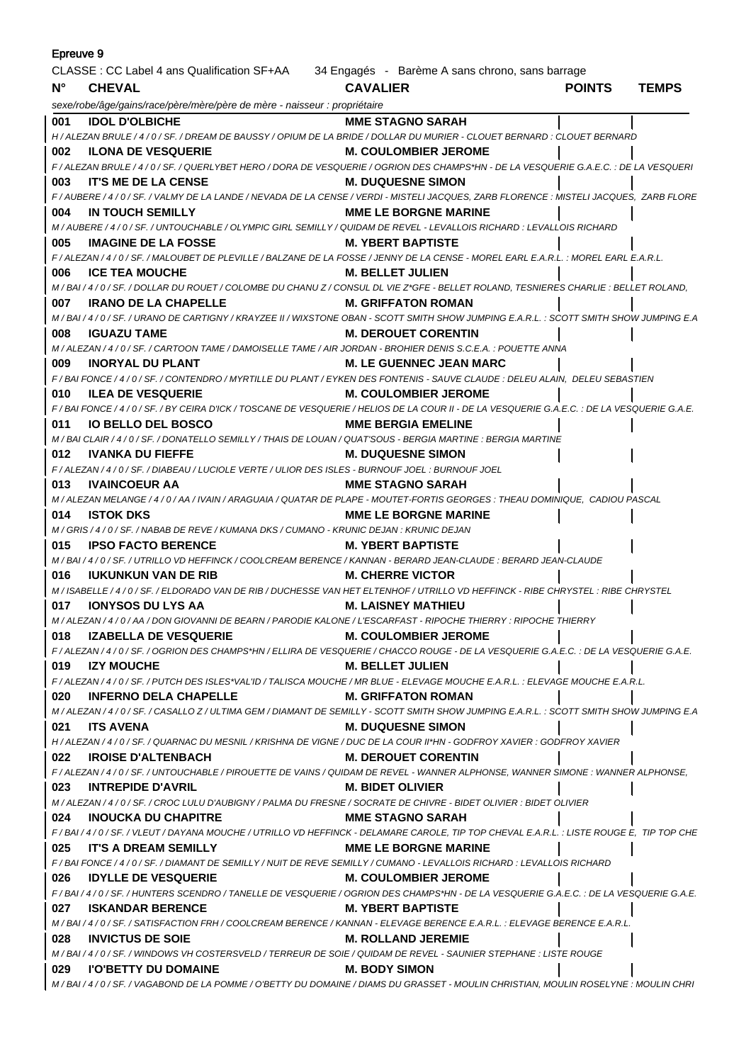| Epreuve 9                                                                                   |                                                                                                                                                |                                |               |              |
|---------------------------------------------------------------------------------------------|------------------------------------------------------------------------------------------------------------------------------------------------|--------------------------------|---------------|--------------|
| CLASSE : CC Label 4 ans Qualification SF+AA 34 Engagés - Barème A sans chrono, sans barrage |                                                                                                                                                |                                |               |              |
| $N^{\circ}$                                                                                 | <b>CHEVAL</b>                                                                                                                                  | <b>CAVALIER</b>                | <b>POINTS</b> | <b>TEMPS</b> |
|                                                                                             | sexe/robe/âge/gains/race/père/mère/père de mère - naisseur : propriétaire                                                                      |                                |               |              |
| 001                                                                                         | <b>IDOL D'OLBICHE</b>                                                                                                                          | <b>MME STAGNO SARAH</b>        |               |              |
|                                                                                             | H / ALEZAN BRULE / 4 / 0 / SF. / DREAM DE BAUSSY / OPIUM DE LA BRIDE / DOLLAR DU MURIER - CLOUET BERNARD : CLOUET BERNARD                      |                                |               |              |
| 002                                                                                         | <b>ILONA DE VESQUERIE</b>                                                                                                                      | <b>M. COULOMBIER JEROME</b>    |               |              |
|                                                                                             | F / ALEZAN BRULE / 4 / 0 / SF. / QUERLYBET HERO / DORA DE VESQUERIE / OGRION DES CHAMPS*HN - DE LA VESQUERIE G.A.E.C. : DE LA VESQUERI         |                                |               |              |
| 003                                                                                         | <b>IT'S ME DE LA CENSE</b>                                                                                                                     | M. DUQUESNE SIMON              |               |              |
|                                                                                             | F / AUBERE / 4 / 0 / SF. / VALMY DE LA LANDE / NEVADA DE LA CENSE / VERDI - MISTELI JACQUES, ZARB FLORENCE : MISTELI JACQUES, ZARB FLORE       |                                |               |              |
| 004                                                                                         | IN TOUCH SEMILLY                                                                                                                               | <b>MME LE BORGNE MARINE</b>    |               |              |
|                                                                                             | M / AUBERE / 4 / 0 / SF. / UNTOUCHABLE / OLYMPIC GIRL SEMILLY / QUIDAM DE REVEL - LEVALLOIS RICHARD : LEVALLOIS RICHARD                        |                                |               |              |
| 005                                                                                         | <b>IMAGINE DE LA FOSSE</b>                                                                                                                     | <b>M. YBERT BAPTISTE</b>       |               |              |
|                                                                                             | F / ALEZAN / 4 / 0 / SF. / MALOUBET DE PLEVILLE / BALZANE DE LA FOSSE / JENNY DE LA CENSE - MOREL EARL E.A.R.L. : MOREL EARL E.A.R.L.          |                                |               |              |
| 006                                                                                         | <b>ICE TEA MOUCHE</b><br>M. BELLET JULIEN                                                                                                      |                                |               |              |
|                                                                                             | M / BAI / 4 / 0 / SF. / DOLLAR DU ROUET / COLOMBE DU CHANU Z / CONSUL DL VIE Z*GFE - BELLET ROLAND, TESNIERES CHARLIE : BELLET ROLAND,         |                                |               |              |
| 007                                                                                         | <b>IRANO DE LA CHAPELLE</b>                                                                                                                    | <b>M. GRIFFATON ROMAN</b>      |               |              |
|                                                                                             | M / BAI / 4 / 0 / SF. / URANO DE CARTIGNY / KRAYZEE II / WIXSTONE OBAN - SCOTT SMITH SHOW JUMPING E.A.R.L. : SCOTT SMITH SHOW JUMPING E.A      |                                |               |              |
| 008                                                                                         | <b>IGUAZU TAME</b>                                                                                                                             | <b>M. DEROUET CORENTIN</b>     |               |              |
|                                                                                             | M / ALEZAN / 4 / 0 / SF. / CARTOON TAME / DAMOISELLE TAME / AIR JORDAN - BROHIER DENIS S.C.E.A. : POUETTE ANNA                                 |                                |               |              |
| 009                                                                                         | <b>INORYAL DU PLANT</b>                                                                                                                        | <b>M. LE GUENNEC JEAN MARC</b> |               |              |
|                                                                                             | F/BAI FONCE/4/0/SF./CONTENDRO/MYRTILLE DU PLANT/EYKEN DES FONTENIS - SAUVE CLAUDE : DELEU ALAIN, DELEU SEBASTIEN                               |                                |               |              |
| 010                                                                                         | <b>ILEA DE VESQUERIE</b>                                                                                                                       | <b>M. COULOMBIER JEROME</b>    |               |              |
|                                                                                             | F / BAI FONCE / 4 / 0 / SF. / BY CEIRA D'ICK / TOSCANE DE VESQUERIE / HELIOS DE LA COUR II - DE LA VESQUERIE G.A.E.C. : DE LA VESQUERIE G.A.E. |                                |               |              |
| 011                                                                                         | <b>IO BELLO DEL BOSCO</b>                                                                                                                      | <b>MME BERGIA EMELINE</b>      |               |              |
|                                                                                             | M / BAI CLAIR / 4 / 0 / SF. / DONATELLO SEMILLY / THAIS DE LOUAN / QUAT'SOUS - BERGIA MARTINE : BERGIA MARTINE                                 |                                |               |              |
| 012                                                                                         | <b>IVANKA DU FIEFFE</b><br>F / ALEZAN / 4 / 0 / SF. / DIABEAU / LUCIOLE VERTE / ULIOR DES ISLES - BURNOUF JOEL : BURNOUF JOEL                  | <b>M. DUQUESNE SIMON</b>       |               |              |
| 013                                                                                         | <b>IVAINCOEUR AA</b>                                                                                                                           | MME STAGNO SARAH               |               |              |
|                                                                                             | M / ALEZAN MELANGE / 4 / 0 / AA / IVAIN / ARAGUAIA / QUATAR DE PLAPE - MOUTET-FORTIS GEORGES : THEAU DOMINIQUE, CADIOU PASCAL                  |                                |               |              |
| 014                                                                                         | <b>ISTOK DKS</b>                                                                                                                               | <b>MME LE BORGNE MARINE</b>    |               |              |
|                                                                                             | M / GRIS / 4 / 0 / SF. / NABAB DE REVE / KUMANA DKS / CUMANO - KRUNIC DEJAN : KRUNIC DEJAN                                                     |                                |               |              |
| 015                                                                                         | <b>IPSO FACTO BERENCE</b>                                                                                                                      | M. YBERT BAPTISTE              |               |              |
|                                                                                             | M / BAI / 4 / 0 / SF. / UTRILLO VD HEFFINCK / COOLCREAM BERENCE / KANNAN - BERARD JEAN-CLAUDE : BERARD JEAN-CLAUDE                             |                                |               |              |
| 016                                                                                         | <b>IUKUNKUN VAN DE RIB</b>                                                                                                                     | M. CHERRE VICTOR               |               |              |
|                                                                                             | M / ISABELLE / 4 / 0 / SF. / ELDORADO VAN DE RIB / DUCHESSE VAN HET ELTENHOF / UTRILLO VD HEFFINCK - RIBE CHRYSTEL : RIBE CHRYSTEL             |                                |               |              |
| 017                                                                                         | <b>IONYSOS DU LYS AA</b>                                                                                                                       | <b>M. LAISNEY MATHIEU</b>      |               |              |
|                                                                                             | M / ALEZAN / 4 / 0 / AA / DON GIOVANNI DE BEARN / PARODIE KALONE / L'ESCARFAST - RIPOCHE THIERRY : RIPOCHE THIERRY                             |                                |               |              |
|                                                                                             | 018 IZABELLA DE VESQUERIE                                                                                                                      | <b>M. COULOMBIER JEROME</b>    |               |              |
|                                                                                             | F / ALEZAN / 4 / 0 / SF. / OGRION DES CHAMPS*HN / ELLIRA DE VESQUERIE / CHACCO ROUGE - DE LA VESQUERIE G.A.E.C. : DE LA VESQUERIE G.A.E.       |                                |               |              |
|                                                                                             | 019 IZY MOUCHE                                                                                                                                 | <b>M. BELLET JULIEN</b>        |               |              |
|                                                                                             | F / ALEZAN / 4 / 0 / SF. / PUTCH DES ISLES*VAL'ID / TALISCA MOUCHE / MR BLUE - ELEVAGE MOUCHE E.A.R.L. : ELEVAGE MOUCHE E.A.R.L.               |                                |               |              |
|                                                                                             | 020 INFERNO DELA CHAPELLE                                                                                                                      | M. GRIFFATON ROMAN             |               |              |
|                                                                                             | M / ALEZAN / 4 / 0 / SF. / CASALLO Z / ULTIMA GEM / DIAMANT DE SEMILLY - SCOTT SMITH SHOW JUMPING E.A.R.L. : SCOTT SMITH SHOW JUMPING E.A      |                                |               |              |
|                                                                                             | 021 ITS AVENA                                                                                                                                  | <b>M. DUQUESNE SIMON</b>       |               |              |
|                                                                                             | H / ALEZAN / 4 / 0 / SF. / QUARNAC DU MESNIL / KRISHNA DE VIGNE / DUC DE LA COUR II*HN - GODFROY XAVIER : GODFROY XAVIER                       |                                |               |              |
|                                                                                             | 022 IROISE D'ALTENBACH                                                                                                                         | <b>M. DEROUET CORENTIN</b>     |               |              |
|                                                                                             | F / ALEZAN / 4 / 0 / SF. / UNTOUCHABLE / PIROUETTE DE VAINS / QUIDAM DE REVEL - WANNER ALPHONSE, WANNER SIMONE: WANNER ALPHONSE,               |                                |               |              |
|                                                                                             | 023 INTREPIDE D'AVRIL                                                                                                                          | <b>M. BIDET OLIVIER</b>        |               |              |
|                                                                                             | M/ALEZAN/4/0/SF./CROC LULU D'AUBIGNY/PALMA DU FRESNE/SOCRATE DE CHIVRE - BIDET OLIVIER : BIDET OLIVIER                                         |                                |               |              |
|                                                                                             | 024 INOUCKA DU CHAPITRE                                                                                                                        | <b>MME STAGNO SARAH</b>        |               |              |
|                                                                                             | F/BAI/4/0/SF./VLEUT/DAYANA MOUCHE/UTRILLO VD HEFFINCK - DELAMARE CAROLE, TIP TOP CHEVAL E.A.R.L.: LISTE ROUGE E, TIP TOP CHE                   |                                |               |              |
|                                                                                             | 025 IT'S A DREAM SEMILLY                                                                                                                       | <b>MME LE BORGNE MARINE</b>    |               |              |
|                                                                                             | F / BAI FONCE / 4 / 0 / SF. / DIAMANT DE SEMILLY / NUIT DE REVE SEMILLY / CUMANO - LEVALLOIS RICHARD : LEVALLOIS RICHARD                       |                                |               |              |
|                                                                                             | 026 <b>IDYLLE DE VESQUERIE</b>                                                                                                                 | <b>M. COULOMBIER JEROME</b>    |               |              |
|                                                                                             | F / BAI / 4 / 0 / SF. / HUNTERS SCENDRO / TANELLE DE VESQUERIE / OGRION DES CHAMPS*HN - DE LA VESQUERIE G.A.E.C. : DE LA VESQUERIE G.A.E.      |                                |               |              |
|                                                                                             | 027 ISKANDAR BERENCE                                                                                                                           | <b>M. YBERT BAPTISTE</b>       |               |              |
|                                                                                             | M/BAI/4/0/SF./SATISFACTION FRH/COOLCREAM BERENCE/KANNAN - ELEVAGE BERENCE E.A.R.L.: ELEVAGE BERENCE E.A.R.L.                                   |                                |               |              |
|                                                                                             | 028 INVICTUS DE SOIE                                                                                                                           | <b>M. ROLLAND JEREMIE</b>      |               |              |
|                                                                                             | M / BAI / 4 / 0 / SF. / WINDOWS VH COSTERSVELD / TERREUR DE SOIE / QUIDAM DE REVEL - SAUNIER STEPHANE : LISTE ROUGE                            |                                |               |              |
|                                                                                             | 029 I'O'BETTY DU DOMAINE                                                                                                                       | <b>M. BODY SIMON</b>           |               |              |
|                                                                                             | M / BAI / 4 / 0 / SF. / VAGABOND DE LA POMME / O'BETTY DU DOMAINE / DIAMS DU GRASSET - MOULIN CHRISTIAN, MOULIN ROSELYNE : MOULIN CHRI         |                                |               |              |